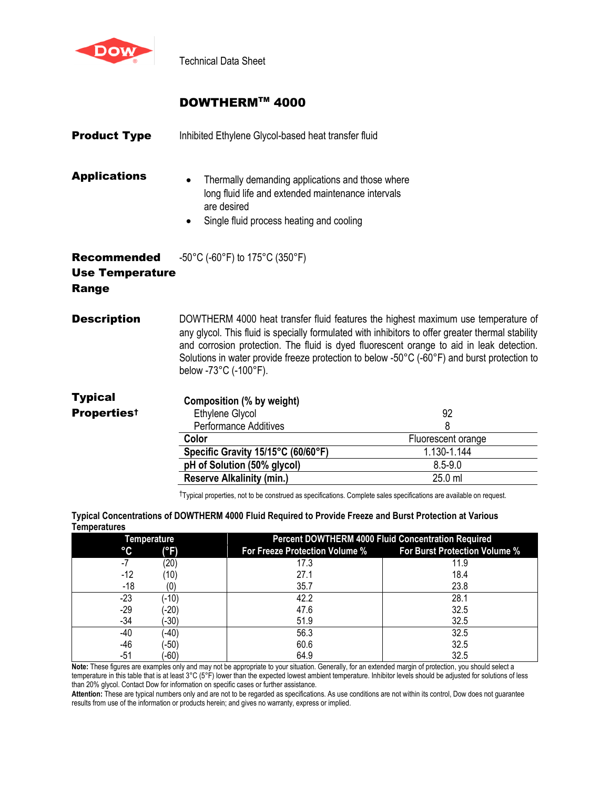

Technical Data Sheet

## DOWTHERMTM 4000

| <b>Product Type</b>                                          | Inhibited Ethylene Glycol-based heat transfer fluid                                                                                                               |                                                                                                                                                                                                                                                                                                                                                                                   |
|--------------------------------------------------------------|-------------------------------------------------------------------------------------------------------------------------------------------------------------------|-----------------------------------------------------------------------------------------------------------------------------------------------------------------------------------------------------------------------------------------------------------------------------------------------------------------------------------------------------------------------------------|
| <b>Applications</b>                                          | Thermally demanding applications and those where<br>long fluid life and extended maintenance intervals<br>are desired<br>Single fluid process heating and cooling |                                                                                                                                                                                                                                                                                                                                                                                   |
| <b>Recommended</b><br><b>Use Temperature</b><br><b>Range</b> | -50°C (-60°F) to 175°C (350°F)                                                                                                                                    |                                                                                                                                                                                                                                                                                                                                                                                   |
| <b>Description</b>                                           | below -73°C (-100°F).                                                                                                                                             | DOWTHERM 4000 heat transfer fluid features the highest maximum use temperature of<br>any glycol. This fluid is specially formulated with inhibitors to offer greater thermal stability<br>and corrosion protection. The fluid is dyed fluorescent orange to aid in leak detection.<br>Solutions in water provide freeze protection to below -50°C (-60°F) and burst protection to |
| <b>Typical</b><br><b>Propertiest</b>                         | Composition (% by weight)<br>Ethylene Glycol<br><b>Performance Additives</b>                                                                                      | 92<br>8                                                                                                                                                                                                                                                                                                                                                                           |
|                                                              | Color                                                                                                                                                             | Fluorescent orange                                                                                                                                                                                                                                                                                                                                                                |
|                                                              | Specific Gravity 15/15°C (60/60°F)                                                                                                                                | 1.130-1.144                                                                                                                                                                                                                                                                                                                                                                       |
|                                                              | pH of Solution (50% glycol)                                                                                                                                       | $8.5 - 9.0$                                                                                                                                                                                                                                                                                                                                                                       |
|                                                              | <b>Reserve Alkalinity (min.)</b>                                                                                                                                  | 25.0 ml                                                                                                                                                                                                                                                                                                                                                                           |
|                                                              |                                                                                                                                                                   |                                                                                                                                                                                                                                                                                                                                                                                   |

†Typical properties, not to be construed as specifications. Complete sales specifications are available on request.

**Typical Concentrations of DOWTHERM 4000 Fluid Required to Provide Freeze and Burst Protection at Various Temperatures**

| <b>Temperature</b> |                                | <b>Percent DOWTHERM 4000 Fluid Concentration Required</b> |  |  |  |  |
|--------------------|--------------------------------|-----------------------------------------------------------|--|--|--|--|
| °C<br>(°F)         | For Freeze Protection Volume % | For Burst Protection Volume %                             |  |  |  |  |
| (20)<br>-7         | 17.3                           | 11.9                                                      |  |  |  |  |
| -12<br>(10)        | 27.1                           | 18.4                                                      |  |  |  |  |
| $-18$<br>'0'       | 35.7                           | 23.8                                                      |  |  |  |  |
| $-23$<br>$(-10)$   | 42.2                           | 28.1                                                      |  |  |  |  |
| $-29$<br>$-20)$    | 47.6                           | 32.5                                                      |  |  |  |  |
| $-34$<br>$(-30)$   | 51.9                           | 32.5                                                      |  |  |  |  |
| $-40)$<br>-40      | 56.3                           | 32.5                                                      |  |  |  |  |
| $-46$<br>$(-50)$   | 60.6                           | 32.5                                                      |  |  |  |  |
| $-60)$<br>$-51$    | 64.9                           | 32.5                                                      |  |  |  |  |

**Note:** These figures are examples only and may not be appropriate to your situation. Generally, for an extended margin of protection, you should select a temperature in this table that is at least 3°C (5°F) lower than the expected lowest ambient temperature. Inhibitor levels should be adjusted for solutions of less than 20% glycol. Contact Dow for information on specific cases or further assistance.

**Attention:** These are typical numbers only and are not to be regarded as specifications. As use conditions are not within its control, Dow does not guarantee results from use of the information or products herein; and gives no warranty, express or implied.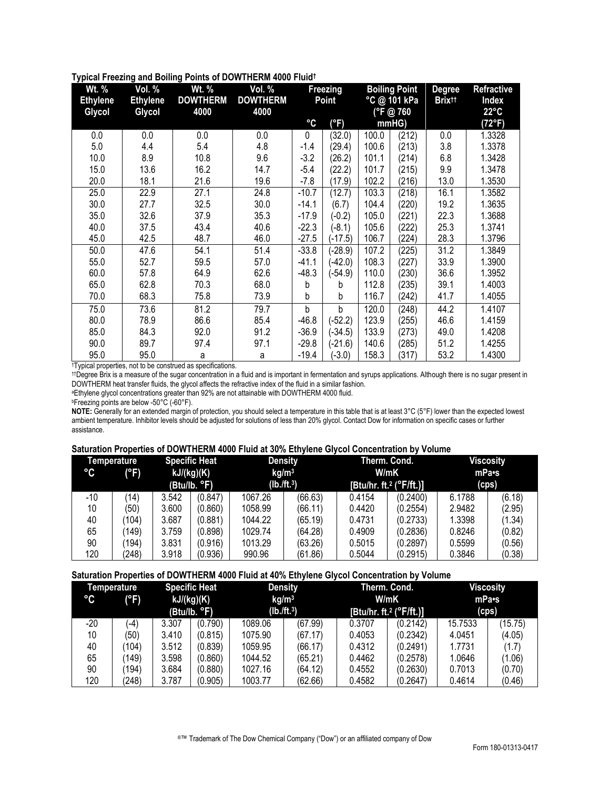|  | Typical Freezing and Boiling Points of DOWTHERM 4000 Fluidt |  |
|--|-------------------------------------------------------------|--|
|  |                                                             |  |
|  |                                                             |  |
|  |                                                             |  |

| Wt. %           | Vol. %          | Wt. %           | Vol. %          | Freezing |           | <b>Boiling Point</b> |                 | <b>Degree</b>            | <b>Refractive</b> |
|-----------------|-----------------|-----------------|-----------------|----------|-----------|----------------------|-----------------|--------------------------|-------------------|
| <b>Ethylene</b> | <b>Ethylene</b> | <b>DOWTHERM</b> | <b>DOWTHERM</b> | Point    |           | °C @ 101 kPa         |                 | <b>Brix<sup>tt</sup></b> | Index             |
| Glycol          | Glycol          | 4000            | 4000            |          |           | (°F@760              |                 |                          | $22^{\circ}$ C    |
|                 |                 |                 |                 | °C       | (°F)      |                      | mm <sub>H</sub> |                          | (72°F)            |
| 0.0             | 0.0             | 0.0             | 0.0             | 0        | (32.0)    | 100.0                | (212)           | 0.0                      | 1.3328            |
| 5.0             | 4.4             | 5.4             | 4.8             | -1.4     | (29.4)    | 100.6                | (213)           | 3.8                      | 1.3378            |
| 10.0            | 8.9             | 10.8            | 9.6             | $-3.2$   | (26.2)    | 101.1                | (214)           | 6.8                      | 1.3428            |
| 15.0            | 13.6            | 16.2            | 14.7            | $-5.4$   | (22.2)    | 101.7                | (215)           | 9.9                      | 1.3478            |
| 20.0            | 18.1            | 21.6            | 19.6            | $-7.8$   | (17.9)    | 102.2                | (216)           | 13.0                     | 1.3530            |
| 25.0            | 22.9            | 27.1            | 24.8            | $-10.7$  | (12.7)    | 103.3                | (218)           | 16.1                     | 1.3582            |
| 30.0            | 27.7            | 32.5            | 30.0            | $-14.1$  | (6.7)     | 104.4                | (220)           | 19.2                     | 1.3635            |
| 35.0            | 32.6            | 37.9            | 35.3            | $-17.9$  | $(-0.2)$  | 105.0                | (221)           | 22.3                     | 1.3688            |
| 40.0            | 37.5            | 43.4            | 40.6            | $-22.3$  | $(-8.1)$  | 105.6                | (222)           | 25.3                     | 1.3741            |
| 45.0            | 42.5            | 48.7            | 46.0            | $-27.5$  | $(-17.5)$ | 106.7                | (224)           | 28.3                     | 1.3796            |
| 50.0            | 47.6            | 54.1            | 51.4            | $-33.8$  | $(-28.9)$ | 107.2                | (225)           | 31.2                     | 1.3849            |
| 55.0            | 52.7            | 59.5            | 57.0            | $-41.1$  | $(-42.0)$ | 108.3                | (227)           | 33.9                     | 1.3900            |
| 60.0            | 57.8            | 64.9            | 62.6            | $-48.3$  | $(-54.9)$ | 110.0                | (230)           | 36.6                     | 1.3952            |
| 65.0            | 62.8            | 70.3            | 68.0            | b        | b         | 112.8                | (235)           | 39.1                     | 1.4003            |
| 70.0            | 68.3            | 75.8            | 73.9            | b        | b         | 116.7                | (242)           | 41.7                     | 1.4055            |
| 75.0            | 73.6            | 81.2            | 79.7            | b        | b         | 120.0                | (248)           | 44.2                     | 1.4107            |
| 80.0            | 78.9            | 86.6            | 85.4            | $-46.8$  | $(-52.2)$ | 123.9                | (255)           | 46.6                     | 1.4159            |
| 85.0            | 84.3            | 92.0            | 91.2            | $-36.9$  | $(-34.5)$ | 133.9                | (273)           | 49.0                     | 1.4208            |
| 90.0            | 89.7            | 97.4            | 97.1            | $-29.8$  | $(-21.6)$ | 140.6                | (285)           | 51.2                     | 1.4255            |
| 95.0            | 95.0            | а               | а               | $-19.4$  | $-3.0$    | 158.3                | (317)           | 53.2                     | 1.4300            |

†Typical properties, not to be construed as specifications.

††Degree Brix is a measure of the sugar concentration in a fluid and is important in fermentation and syrups applications. Although there is no sugar present in DOWTHERM heat transfer fluids, the glycol affects the refractive index of the fluid in a similar fashion.

<sup>a</sup>Ethylene glycol concentrations greater than 92% are not attainable with DOWTHERM 4000 fluid.

*bFreezing points are below -50°C (-60°F).* 

**NOTE:** Generally for an extended margin of protection, you should select a temperature in this table that is at least 3°C (5°F) lower than the expected lowest ambient temperature. Inhibitor levels should be adjusted for solutions of less than 20% glycol. Contact Dow for information on specific cases or further assistance.

## **Saturation Properties of DOWTHERM 4000 Fluid at 30% Ethylene Glycol Concentration by Volume**

| °C    | Temperature<br>(°F) | <b>Specific Heat</b><br>kJ/(kg)(K)<br>(Btu/lb. °F) |         |         | <b>Density</b><br>kg/m <sup>3</sup><br>$(lb./ft.^3)$ | Therm. Cond.<br>W/mK<br>[Btu/hr. ft. <sup>2</sup> ( $\degree$ F/ft.)] |          |        | <b>Viscosity</b><br>mPa•s<br>(cps) |
|-------|---------------------|----------------------------------------------------|---------|---------|------------------------------------------------------|-----------------------------------------------------------------------|----------|--------|------------------------------------|
| $-10$ | (14)                | 3.542                                              | (0.847) | 1067.26 | (66.63)                                              | 0.4154                                                                | (0.2400) | 6.1788 | (6.18)                             |
| 10    | (50)                | 3.600                                              | (0.860) | 1058.99 | (66.11)                                              | 0.4420                                                                | (0.2554) | 2.9482 | (2.95)                             |
| 40    | (104                | 3.687                                              | (0.881) | 1044.22 | (65.19)                                              | 0.4731                                                                | (0.2733) | 1.3398 | (1.34)                             |
| 65    | 149)                | 3.759                                              | (0.898) | 1029.74 | (64.28)                                              | 0.4909                                                                | (0.2836) | 0.8246 | (0.82)                             |
| 90    | ั194)               | 3.831                                              | (0.916) | 1013.29 | (63.26)                                              | 0.5015                                                                | (0.2897) | 0.5599 | (0.56)                             |
| 120   | (248)               | 3.918                                              | (0.936) | 990.96  | (61.86)                                              | 0.5044                                                                | (0.2915) | 0.3846 | (0.38)                             |

**Saturation Properties of DOWTHERM 4000 Fluid at 40% Ethylene Glycol Concentration by Volume**

|                 | Temperature |            | <b>Specific Heat</b> |                   | Therm. Cond.<br><b>Density</b> |                                     |          |         | <b>Viscosity</b> |
|-----------------|-------------|------------|----------------------|-------------------|--------------------------------|-------------------------------------|----------|---------|------------------|
| $\rm ^{\circ}C$ | (°F)        | kJ/(kg)(K) |                      | kg/m <sup>3</sup> |                                | W/mK                                |          | mPa•s   |                  |
|                 |             |            | (Btu/lb. °F)         | $(lb./ft.^3)$     |                                | [Btu/hr. ft. <sup>2</sup> (°F/ft.)] |          | (cps)   |                  |
| $-20$           | $(-4)$      | 3.307      | (0.790)              | 1089.06           | (67.99)                        | 0.3707                              | (0.2142) | 15.7533 | (15.75)          |
| 10              | (50)        | 3.410      | (0.815)              | 1075.90           | (67.17)                        | 0.4053                              | (0.2342) | 4.0451  | (4.05)           |
| 40              | (104        | 3.512      | (0.839)              | 1059.95           | (66.17)                        | 0.4312                              | (0.2491) | 1.7731  | (1.7)            |
| 65              | (149)       | 3.598      | (0.860)              | 1044.52           | (65.21)                        | 0.4462                              | (0.2578) | 1.0646  | (1.06)           |
| 90              | (194)       | 3.684      | (0.880)              | 1027.16           | (64.12)                        | 0.4552                              | (0.2630) | 0.7013  | (0.70)           |
| 120             | (248)       | 3.787      | (0.905)              | 1003.77           | (62.66)                        | 0.4582                              | (0.2647) | 0.4614  | (0.46)           |